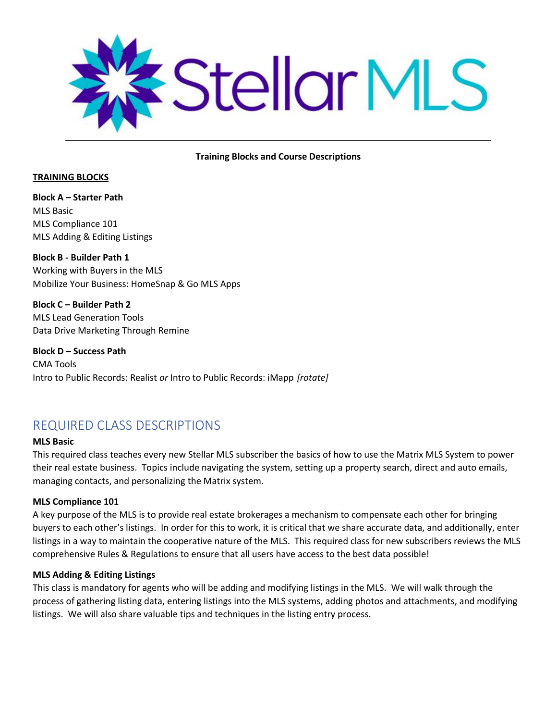

#### **Training Blocks and Course Descriptions**

#### **TRAINING BLOCKS**

**Block A – Starter Path** MLS Basic MLS Compliance 101 MLS Adding & Editing Listings

**Block B - Builder Path 1** Working with Buyers in the MLS Mobilize Your Business: HomeSnap & Go MLS Apps

**Block C – Builder Path 2** MLS Lead Generation Tools Data Drive Marketing Through Remine

**Block D – Success Path**  CMA Tools Intro to Public Records: Realist *or* Intro to Public Records: iMapp *[rotate]*

# REQUIRED CLASS DESCRIPTIONS

# **MLS Basic**

This required class teaches every new Stellar MLS subscriber the basics of how to use the Matrix MLS System to power their real estate business. Topics include navigating the system, setting up a property search, direct and auto emails, managing contacts, and personalizing the Matrix system.

#### **MLS Compliance 101**

A key purpose of the MLS is to provide real estate brokerages a mechanism to compensate each other for bringing buyers to each other's listings. In order for this to work, it is critical that we share accurate data, and additionally, enter listings in a way to maintain the cooperative nature of the MLS. This required class for new subscribers reviews the MLS comprehensive Rules & Regulations to ensure that all users have access to the best data possible!

#### **MLS Adding & Editing Listings**

This class is mandatory for agents who will be adding and modifying listings in the MLS. We will walk through the process of gathering listing data, entering listings into the MLS systems, adding photos and attachments, and modifying listings. We will also share valuable tips and techniques in the listing entry process.